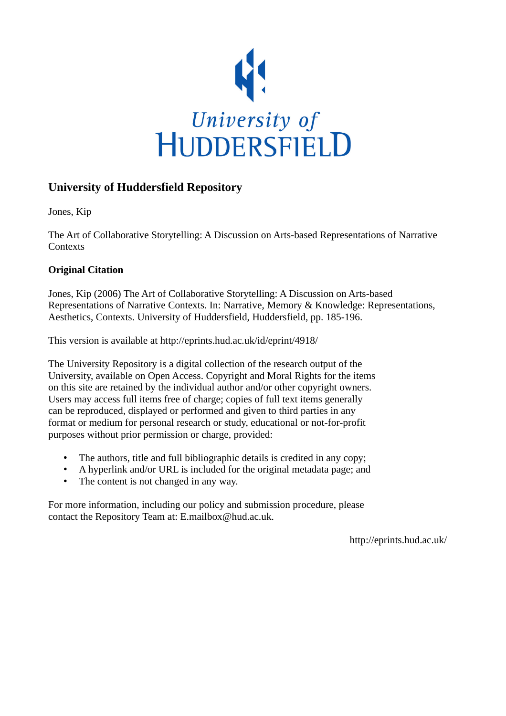

## **University of Huddersfield Repository**

Jones, Kip

The Art of Collaborative Storytelling: A Discussion on Arts-based Representations of Narrative **Contexts** 

### **Original Citation**

Jones, Kip (2006) The Art of Collaborative Storytelling: A Discussion on Arts-based Representations of Narrative Contexts. In: Narrative, Memory & Knowledge: Representations, Aesthetics, Contexts. University of Huddersfield, Huddersfield, pp. 185-196.

This version is available at http://eprints.hud.ac.uk/id/eprint/4918/

The University Repository is a digital collection of the research output of the University, available on Open Access. Copyright and Moral Rights for the items on this site are retained by the individual author and/or other copyright owners. Users may access full items free of charge; copies of full text items generally can be reproduced, displayed or performed and given to third parties in any format or medium for personal research or study, educational or not-for-profit purposes without prior permission or charge, provided:

- The authors, title and full bibliographic details is credited in any copy;
- A hyperlink and/or URL is included for the original metadata page; and
- The content is not changed in any way.

For more information, including our policy and submission procedure, please contact the Repository Team at: E.mailbox@hud.ac.uk.

http://eprints.hud.ac.uk/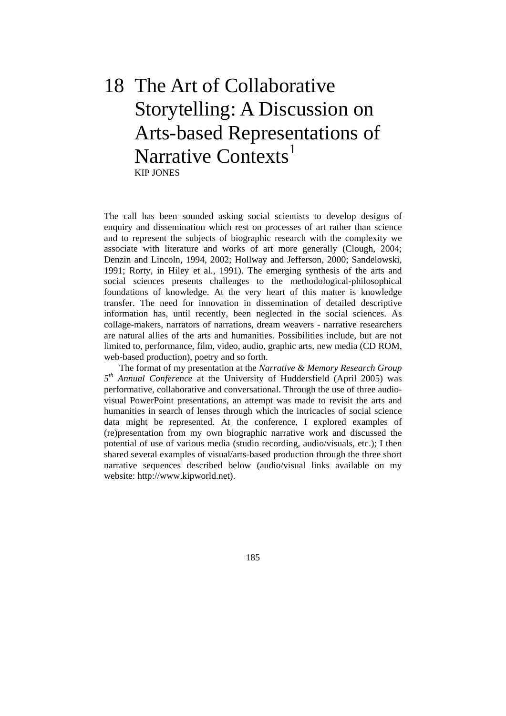# 18 The Art of Collaborative Storytelling: A Discussion on Arts-based Representations of Narrative Contexts<sup>1</sup> KIP JONES

The call has been sounded asking social scientists to develop designs of enquiry and dissemination which rest on processes of art rather than science and to represent the subjects of biographic research with the complexity we associate with literature and works of art more generally (Clough, 2004; Denzin and Lincoln, 1994, 2002; Hollway and Jefferson, 2000; Sandelowski, 1991; Rorty, in Hiley et al., 1991). The emerging synthesis of the arts and social sciences presents challenges to the methodological-philosophical foundations of knowledge. At the very heart of this matter is knowledge transfer. The need for innovation in dissemination of detailed descriptive information has, until recently, been neglected in the social sciences. As collage-makers, narrators of narrations, dream weavers - narrative researchers are natural allies of the arts and humanities. Possibilities include, but are not limited to, performance, film, video, audio, graphic arts, new media (CD ROM, web-based production), poetry and so forth.

 The format of my presentation at the *Narrative & Memory Research Group 5th Annual Conference* at the University of Huddersfield (April 2005) was performative, collaborative and conversational. Through the use of three audiovisual PowerPoint presentations, an attempt was made to revisit the arts and humanities in search of lenses through which the intricacies of social science data might be represented. At the conference, I explored examples of (re)presentation from my own biographic narrative work and discussed the potential of use of various media (studio recording, audio/visuals, etc.); I then shared several examples of visual/arts-based production through the three short narrative sequences described below (audio/visual links available on my website: http://www.kipworld.net).

185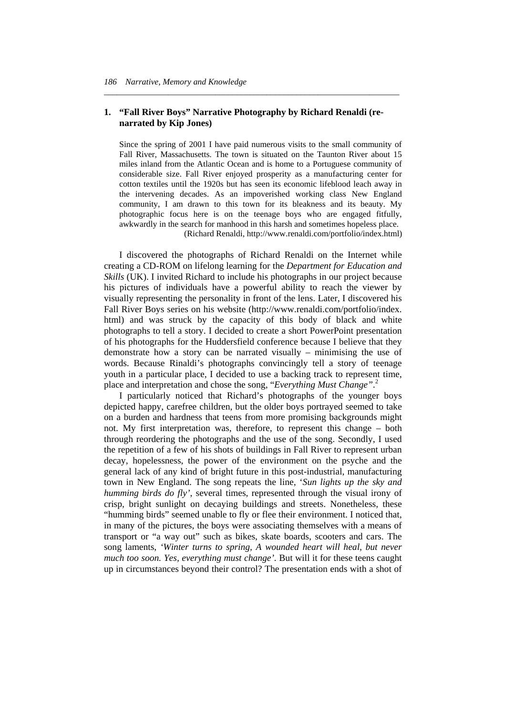#### **1. "Fall River Boys" Narrative Photography by Richard Renaldi (renarrated by Kip Jones)**

*\_\_\_\_\_\_\_\_\_\_\_\_\_\_\_\_\_\_\_\_\_\_\_\_\_\_\_\_\_\_\_\_\_\_\_\_\_\_\_\_\_\_\_\_\_\_\_\_\_\_\_\_\_\_\_\_\_\_\_\_\_\_\_\_\_\_\_\_\_* 

Since the spring of 2001 I have paid numerous visits to the small community of Fall River, Massachusetts. The town is situated on the Taunton River about 15 miles inland from the Atlantic Ocean and is home to a Portuguese community of considerable size. Fall River enjoyed prosperity as a manufacturing center for cotton textiles until the 1920s but has seen its economic lifeblood leach away in the intervening decades. As an impoverished working class New England community, I am drawn to this town for its bleakness and its beauty. My photographic focus here is on the teenage boys who are engaged fitfully, awkwardly in the search for manhood in this harsh and sometimes hopeless place.

(Richard Renaldi, http://www.renaldi.com/portfolio/index.html)

 I discovered the photographs of Richard Renaldi on the Internet while creating a CD-ROM on lifelong learning for the *Department for Education and Skills* (UK). I invited Richard to include his photographs in our project because his pictures of individuals have a powerful ability to reach the viewer by visually representing the personality in front of the lens. Later, I discovered his Fall River Boys series on his website (http://www.renaldi.com/portfolio/index. html) and was struck by the capacity of this body of black and white photographs to tell a story. I decided to create a short PowerPoint presentation of his photographs for the Huddersfield conference because I believe that they demonstrate how a story can be narrated visually – minimising the use of words. Because Rinaldi's photographs convincingly tell a story of teenage youth in a particular place, I decided to use a backing track to represent time, place and interpretation and chose the song, "*Everything Must Change"*. 2

 I particularly noticed that Richard's photographs of the younger boys depicted happy, carefree children, but the older boys portrayed seemed to take on a burden and hardness that teens from more promising backgrounds might not. My first interpretation was, therefore, to represent this change – both through reordering the photographs and the use of the song. Secondly, I used the repetition of a few of his shots of buildings in Fall River to represent urban decay, hopelessness, the power of the environment on the psyche and the general lack of any kind of bright future in this post-industrial, manufacturing town in New England. The song repeats the line, '*Sun lights up the sky and humming birds do fly'*, several times, represented through the visual irony of crisp, bright sunlight on decaying buildings and streets. Nonetheless, these "humming birds" seemed unable to fly or flee their environment. I noticed that, in many of the pictures, the boys were associating themselves with a means of transport or "a way out" such as bikes, skate boards, scooters and cars. The song laments, *'Winter turns to spring, A wounded heart will heal, but never much too soon. Yes, everything must change'.* But will it for these teens caught up in circumstances beyond their control? The presentation ends with a shot of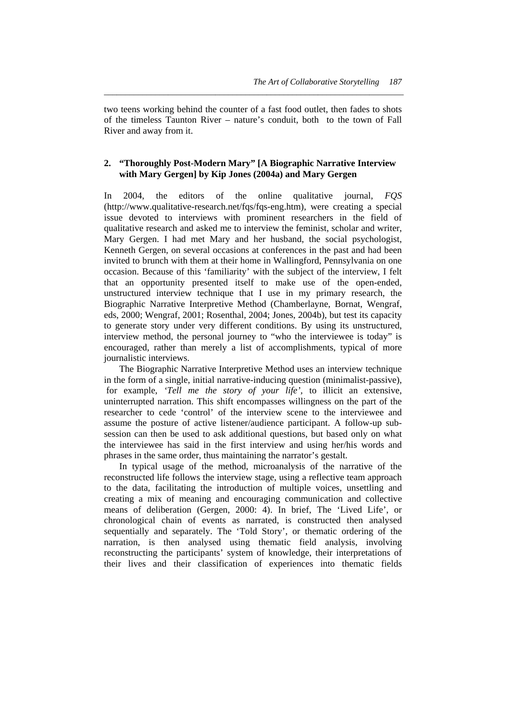two teens working behind the counter of a fast food outlet, then fades to shots of the timeless Taunton River – nature's conduit, both to the town of Fall River and away from it.

*\_\_\_\_\_\_\_\_\_\_\_\_\_\_\_\_\_\_\_\_\_\_\_\_\_\_\_\_\_\_\_\_\_\_\_\_\_\_\_\_\_\_\_\_\_\_\_\_\_\_\_\_\_\_\_\_\_\_\_\_\_\_\_\_\_\_\_\_\_\_* 

#### **2. "Thoroughly Post-Modern Mary" [A Biographic Narrative Interview with Mary Gergen] by Kip Jones (2004a) and Mary Gergen**

In 2004, the editors of the online qualitative journal, *FQS* (http://www.qualitative-research.net/fqs/fqs-eng.htm), were creating a special issue devoted to interviews with prominent researchers in the field of qualitative research and asked me to interview the feminist, scholar and writer, Mary Gergen. I had met Mary and her husband, the social psychologist, Kenneth Gergen, on several occasions at conferences in the past and had been invited to brunch with them at their home in Wallingford, Pennsylvania on one occasion. Because of this 'familiarity' with the subject of the interview, I felt that an opportunity presented itself to make use of the open-ended, unstructured interview technique that I use in my primary research, the Biographic Narrative Interpretive Method (Chamberlayne, Bornat, Wengraf, eds, 2000; Wengraf, 2001; Rosenthal, 2004; Jones, 2004b), but test its capacity to generate story under very different conditions. By using its unstructured, interview method, the personal journey to "who the interviewee is today" is encouraged, rather than merely a list of accomplishments, typical of more journalistic interviews.

 The Biographic Narrative Interpretive Method uses an interview technique in the form of a single, initial narrative-inducing question (minimalist-passive), for example, *'Tell me the story of your life',* to illicit an extensive, uninterrupted narration. This shift encompasses willingness on the part of the researcher to cede 'control' of the interview scene to the interviewee and assume the posture of active listener/audience participant. A follow-up subsession can then be used to ask additional questions, but based only on what the interviewee has said in the first interview and using her/his words and phrases in the same order, thus maintaining the narrator's gestalt.

 In typical usage of the method, microanalysis of the narrative of the reconstructed life follows the interview stage, using a reflective team approach to the data, facilitating the introduction of multiple voices, unsettling and creating a mix of meaning and encouraging communication and collective means of deliberation (Gergen, 2000: 4). In brief, The 'Lived Life', or chronological chain of events as narrated, is constructed then analysed sequentially and separately. The 'Told Story', or thematic ordering of the narration, is then analysed using thematic field analysis, involving reconstructing the participants' system of knowledge, their interpretations of their lives and their classification of experiences into thematic fields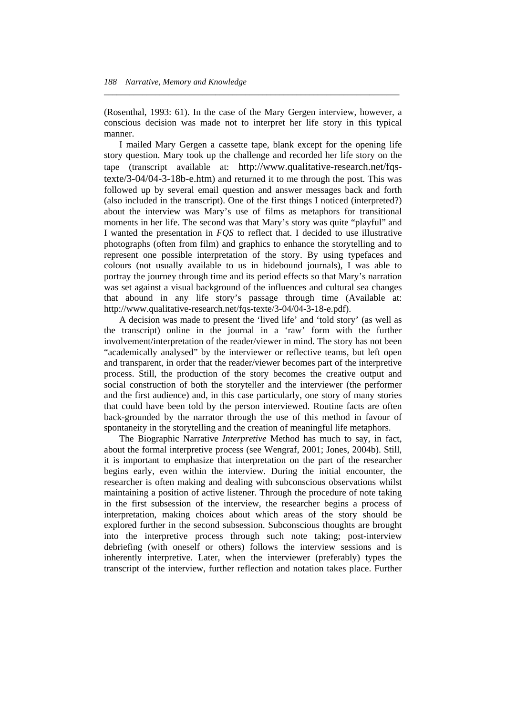(Rosenthal, 1993: 61). In the case of the Mary Gergen interview, however, a conscious decision was made not to interpret her life story in this typical manner.

*\_\_\_\_\_\_\_\_\_\_\_\_\_\_\_\_\_\_\_\_\_\_\_\_\_\_\_\_\_\_\_\_\_\_\_\_\_\_\_\_\_\_\_\_\_\_\_\_\_\_\_\_\_\_\_\_\_\_\_\_\_\_\_\_\_\_\_\_\_* 

 I mailed Mary Gergen a cassette tape, blank except for the opening life story question. Mary took up the challenge and recorded her life story on the tape (transcript available at: http://www.qualitative-research.net/fqstexte/3-04/04-3-18b-e.htm) and returned it to me through the post. This was followed up by several email question and answer messages back and forth (also included in the transcript). One of the first things I noticed (interpreted?) about the interview was Mary's use of films as metaphors for transitional moments in her life. The second was that Mary's story was quite "playful" and I wanted the presentation in *FQS* to reflect that. I decided to use illustrative photographs (often from film) and graphics to enhance the storytelling and to represent one possible interpretation of the story. By using typefaces and colours (not usually available to us in hidebound journals), I was able to portray the journey through time and its period effects so that Mary's narration was set against a visual background of the influences and cultural sea changes that abound in any life story's passage through time (Available at: http://www.qualitative-research.net/fqs-texte/3-04/04-3-18-e.pdf).

 A decision was made to present the 'lived life' and 'told story' (as well as the transcript) online in the journal in a 'raw' form with the further involvement/interpretation of the reader/viewer in mind. The story has not been "academically analysed" by the interviewer or reflective teams, but left open and transparent, in order that the reader/viewer becomes part of the interpretive process. Still, the production of the story becomes the creative output and social construction of both the storyteller and the interviewer (the performer and the first audience) and, in this case particularly, one story of many stories that could have been told by the person interviewed. Routine facts are often back-grounded by the narrator through the use of this method in favour of spontaneity in the storytelling and the creation of meaningful life metaphors.

 The Biographic Narrative *Interpretive* Method has much to say, in fact, about the formal interpretive process (see Wengraf, 2001; Jones, 2004b). Still, it is important to emphasize that interpretation on the part of the researcher begins early, even within the interview. During the initial encounter, the researcher is often making and dealing with subconscious observations whilst maintaining a position of active listener. Through the procedure of note taking in the first subsession of the interview, the researcher begins a process of interpretation, making choices about which areas of the story should be explored further in the second subsession. Subconscious thoughts are brought into the interpretive process through such note taking; post-interview debriefing (with oneself or others) follows the interview sessions and is inherently interpretive. Later, when the interviewer (preferably) types the transcript of the interview, further reflection and notation takes place. Further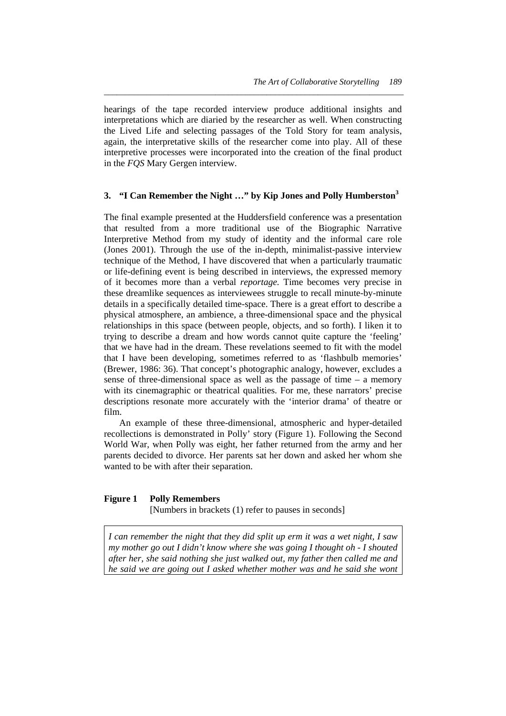hearings of the tape recorded interview produce additional insights and interpretations which are diaried by the researcher as well. When constructing the Lived Life and selecting passages of the Told Story for team analysis, again, the interpretative skills of the researcher come into play. All of these interpretive processes were incorporated into the creation of the final product in the *FQS* Mary Gergen interview.

*\_\_\_\_\_\_\_\_\_\_\_\_\_\_\_\_\_\_\_\_\_\_\_\_\_\_\_\_\_\_\_\_\_\_\_\_\_\_\_\_\_\_\_\_\_\_\_\_\_\_\_\_\_\_\_\_\_\_\_\_\_\_\_\_\_\_\_\_\_\_* 

#### **3. "I Can Remember the Night …" by Kip Jones and Polly Humberston<sup>3</sup>**

The final example presented at the Huddersfield conference was a presentation that resulted from a more traditional use of the Biographic Narrative Interpretive Method from my study of identity and the informal care role (Jones 2001). Through the use of the in-depth, minimalist-passive interview technique of the Method, I have discovered that when a particularly traumatic or life-defining event is being described in interviews, the expressed memory of it becomes more than a verbal *reportage.* Time becomes very precise in these dreamlike sequences as interviewees struggle to recall minute-by-minute details in a specifically detailed time-space. There is a great effort to describe a physical atmosphere, an ambience, a three-dimensional space and the physical relationships in this space (between people, objects, and so forth). I liken it to trying to describe a dream and how words cannot quite capture the 'feeling' that we have had in the dream. These revelations seemed to fit with the model that I have been developing, sometimes referred to as 'flashbulb memories' (Brewer, 1986: 36). That concept's photographic analogy, however, excludes a sense of three-dimensional space as well as the passage of time – a memory with its cinemagraphic or theatrical qualities. For me, these narrators' precise descriptions resonate more accurately with the 'interior drama' of theatre or film.

 An example of these three-dimensional, atmospheric and hyper-detailed recollections is demonstrated in Polly' story (Figure 1). Following the Second World War, when Polly was eight, her father returned from the army and her parents decided to divorce. Her parents sat her down and asked her whom she wanted to be with after their separation.

#### **Figure 1 Polly Remembers**

[Numbers in brackets (1) refer to pauses in seconds]

*I can remember the night that they did split up erm it was a wet night, I saw my mother go out I didn't know where she was going I thought oh - I shouted after her, she said nothing she just walked out, my father then called me and he said we are going out I asked whether mother was and he said she wont*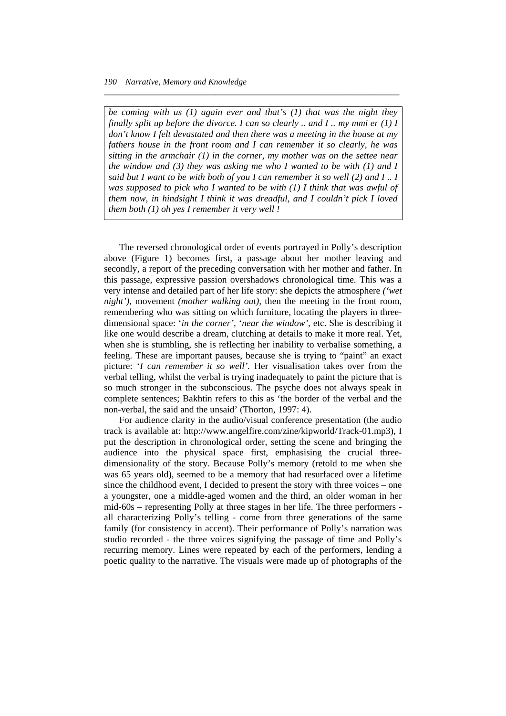*be coming with us (1) again ever and that's (1) that was the night they finally split up before the divorce. I can so clearly .. and I .. my mmi er (1) I don't know I felt devastated and then there was a meeting in the house at my fathers house in the front room and I can remember it so clearly, he was sitting in the armchair (1) in the corner, my mother was on the settee near the window and (3) they was asking me who I wanted to be with (1) and I said but I want to be with both of you I can remember it so well (2) and I .. I was supposed to pick who I wanted to be with (1) I think that was awful of them now, in hindsight I think it was dreadful, and I couldn't pick I loved them both (1) oh yes I remember it very well !* 

*\_\_\_\_\_\_\_\_\_\_\_\_\_\_\_\_\_\_\_\_\_\_\_\_\_\_\_\_\_\_\_\_\_\_\_\_\_\_\_\_\_\_\_\_\_\_\_\_\_\_\_\_\_\_\_\_\_\_\_\_\_\_\_\_\_\_\_\_\_* 

 The reversed chronological order of events portrayed in Polly's description above (Figure 1) becomes first, a passage about her mother leaving and secondly, a report of the preceding conversation with her mother and father. In this passage, expressive passion overshadows chronological time. This was a very intense and detailed part of her life story: she depicts the atmosphere *('wet night'),* movement *(mother walking out),* then the meeting in the front room, remembering who was sitting on which furniture, locating the players in threedimensional space: '*in the corner',* '*near the window'*, etc. She is describing it like one would describe a dream, clutching at details to make it more real. Yet, when she is stumbling, she is reflecting her inability to verbalise something, a feeling. These are important pauses, because she is trying to "paint" an exact picture: '*I can remember it so well'.* Her visualisation takes over from the verbal telling, whilst the verbal is trying inadequately to paint the picture that is so much stronger in the subconscious. The psyche does not always speak in complete sentences; Bakhtin refers to this as 'the border of the verbal and the non-verbal, the said and the unsaid' (Thorton, 1997: 4).

 For audience clarity in the audio/visual conference presentation (the audio track is available at: http://www.angelfire.com/zine/kipworld/Track-01.mp3), I put the description in chronological order, setting the scene and bringing the audience into the physical space first, emphasising the crucial threedimensionality of the story. Because Polly's memory (retold to me when she was 65 years old), seemed to be a memory that had resurfaced over a lifetime since the childhood event, I decided to present the story with three voices – one a youngster, one a middle-aged women and the third, an older woman in her mid-60s – representing Polly at three stages in her life. The three performers all characterizing Polly's telling - come from three generations of the same family (for consistency in accent). Their performance of Polly's narration was studio recorded - the three voices signifying the passage of time and Polly's recurring memory. Lines were repeated by each of the performers, lending a poetic quality to the narrative. The visuals were made up of photographs of the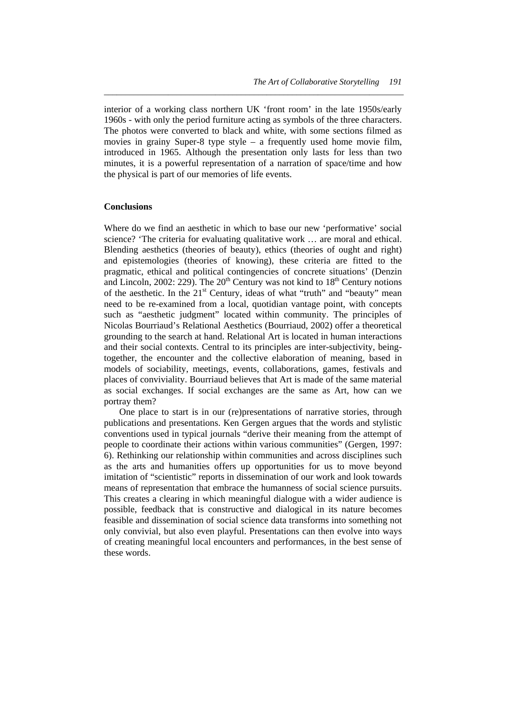interior of a working class northern UK 'front room' in the late 1950s/early 1960s - with only the period furniture acting as symbols of the three characters. The photos were converted to black and white, with some sections filmed as movies in grainy Super-8 type style – a frequently used home movie film, introduced in 1965. Although the presentation only lasts for less than two minutes, it is a powerful representation of a narration of space/time and how the physical is part of our memories of life events.

*\_\_\_\_\_\_\_\_\_\_\_\_\_\_\_\_\_\_\_\_\_\_\_\_\_\_\_\_\_\_\_\_\_\_\_\_\_\_\_\_\_\_\_\_\_\_\_\_\_\_\_\_\_\_\_\_\_\_\_\_\_\_\_\_\_\_\_\_\_\_* 

#### **Conclusions**

Where do we find an aesthetic in which to base our new 'performative' social science? 'The criteria for evaluating qualitative work … are moral and ethical. Blending aesthetics (theories of beauty), ethics (theories of ought and right) and epistemologies (theories of knowing), these criteria are fitted to the pragmatic, ethical and political contingencies of concrete situations' (Denzin and Lincoln, 2002: 229). The  $20<sup>th</sup>$  Century was not kind to  $18<sup>th</sup>$  Century notions of the aesthetic. In the  $21<sup>st</sup>$  Century, ideas of what "truth" and "beauty" mean need to be re-examined from a local, quotidian vantage point, with concepts such as "aesthetic judgment" located within community. The principles of Nicolas Bourriaud's Relational Aesthetics (Bourriaud, 2002) offer a theoretical grounding to the search at hand. Relational Art is located in human interactions and their social contexts. Central to its principles are inter-subjectivity, beingtogether, the encounter and the collective elaboration of meaning, based in models of sociability, meetings, events, collaborations, games, festivals and places of conviviality. Bourriaud believes that Art is made of the same material as social exchanges. If social exchanges are the same as Art, how can we portray them?

 One place to start is in our (re)presentations of narrative stories, through publications and presentations. Ken Gergen argues that the words and stylistic conventions used in typical journals "derive their meaning from the attempt of people to coordinate their actions within various communities" (Gergen, 1997: 6). Rethinking our relationship within communities and across disciplines such as the arts and humanities offers up opportunities for us to move beyond imitation of "scientistic" reports in dissemination of our work and look towards means of representation that embrace the humanness of social science pursuits. This creates a clearing in which meaningful dialogue with a wider audience is possible, feedback that is constructive and dialogical in its nature becomes feasible and dissemination of social science data transforms into something not only convivial, but also even playful. Presentations can then evolve into ways of creating meaningful local encounters and performances, in the best sense of these words.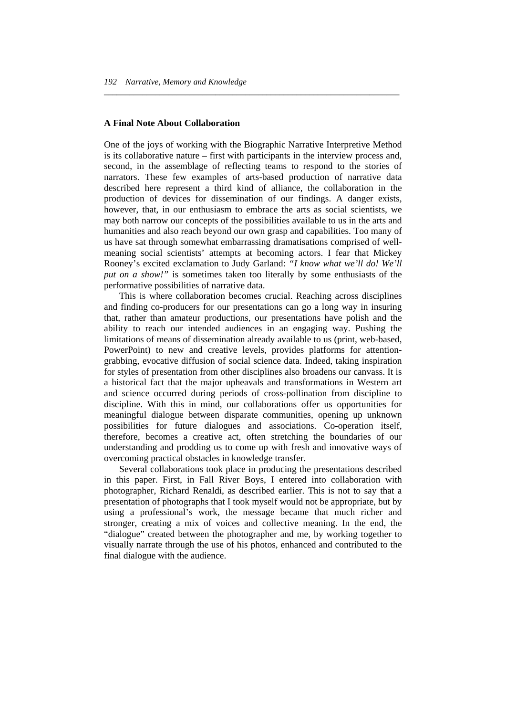#### **A Final Note About Collaboration**

One of the joys of working with the Biographic Narrative Interpretive Method is its collaborative nature – first with participants in the interview process and, second, in the assemblage of reflecting teams to respond to the stories of narrators. These few examples of arts-based production of narrative data described here represent a third kind of alliance, the collaboration in the production of devices for dissemination of our findings. A danger exists, however, that, in our enthusiasm to embrace the arts as social scientists, we may both narrow our concepts of the possibilities available to us in the arts and humanities and also reach beyond our own grasp and capabilities. Too many of us have sat through somewhat embarrassing dramatisations comprised of wellmeaning social scientists' attempts at becoming actors. I fear that Mickey Rooney's excited exclamation to Judy Garland: *"I know what we'll do! We'll put on a show!"* is sometimes taken too literally by some enthusiasts of the performative possibilities of narrative data.

*\_\_\_\_\_\_\_\_\_\_\_\_\_\_\_\_\_\_\_\_\_\_\_\_\_\_\_\_\_\_\_\_\_\_\_\_\_\_\_\_\_\_\_\_\_\_\_\_\_\_\_\_\_\_\_\_\_\_\_\_\_\_\_\_\_\_\_\_\_* 

 This is where collaboration becomes crucial. Reaching across disciplines and finding co-producers for our presentations can go a long way in insuring that, rather than amateur productions, our presentations have polish and the ability to reach our intended audiences in an engaging way. Pushing the limitations of means of dissemination already available to us (print, web-based, PowerPoint) to new and creative levels, provides platforms for attentiongrabbing, evocative diffusion of social science data. Indeed, taking inspiration for styles of presentation from other disciplines also broadens our canvass. It is a historical fact that the major upheavals and transformations in Western art and science occurred during periods of cross-pollination from discipline to discipline. With this in mind, our collaborations offer us opportunities for meaningful dialogue between disparate communities, opening up unknown possibilities for future dialogues and associations. Co-operation itself, therefore, becomes a creative act, often stretching the boundaries of our understanding and prodding us to come up with fresh and innovative ways of overcoming practical obstacles in knowledge transfer.

 Several collaborations took place in producing the presentations described in this paper. First, in Fall River Boys, I entered into collaboration with photographer, Richard Renaldi, as described earlier. This is not to say that a presentation of photographs that I took myself would not be appropriate, but by using a professional's work, the message became that much richer and stronger, creating a mix of voices and collective meaning. In the end, the "dialogue" created between the photographer and me, by working together to visually narrate through the use of his photos, enhanced and contributed to the final dialogue with the audience.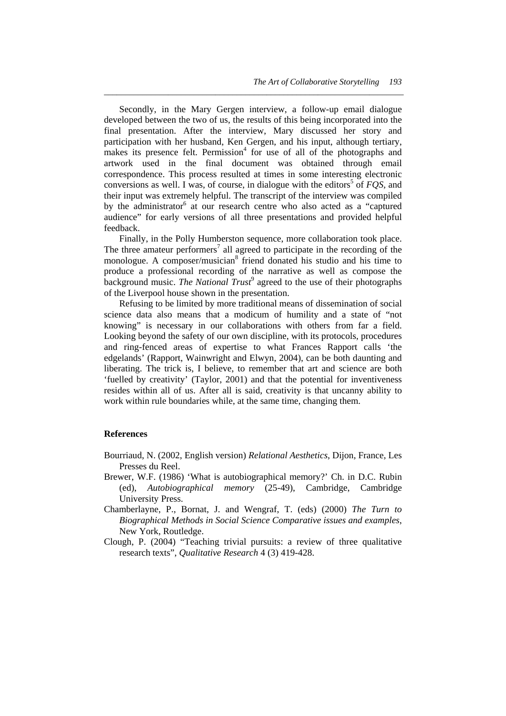Secondly, in the Mary Gergen interview, a follow-up email dialogue developed between the two of us, the results of this being incorporated into the final presentation. After the interview, Mary discussed her story and participation with her husband, Ken Gergen, and his input, although tertiary, makes its presence felt. Permission<sup>4</sup> for use of all of the photographs and artwork used in the final document was obtained through email correspondence. This process resulted at times in some interesting electronic conversions as well. I was, of course, in dialogue with the editors<sup>5</sup> of  $FQS$ , and their input was extremely helpful. The transcript of the interview was compiled by the administrator<sup>6</sup> at our research centre who also acted as a "captured audience" for early versions of all three presentations and provided helpful feedback.

*\_\_\_\_\_\_\_\_\_\_\_\_\_\_\_\_\_\_\_\_\_\_\_\_\_\_\_\_\_\_\_\_\_\_\_\_\_\_\_\_\_\_\_\_\_\_\_\_\_\_\_\_\_\_\_\_\_\_\_\_\_\_\_\_\_\_\_\_\_\_* 

 Finally, in the Polly Humberston sequence, more collaboration took place. The three amateur performers<sup>7</sup> all agreed to participate in the recording of the monologue. A composer/musician<sup>8</sup> friend donated his studio and his time to produce a professional recording of the narrative as well as compose the background music. *The National Trust*<sup>9</sup> agreed to the use of their photographs of the Liverpool house shown in the presentation.

 Refusing to be limited by more traditional means of dissemination of social science data also means that a modicum of humility and a state of "not knowing" is necessary in our collaborations with others from far a field. Looking beyond the safety of our own discipline, with its protocols, procedures and ring-fenced areas of expertise to what Frances Rapport calls 'the edgelands' (Rapport, Wainwright and Elwyn, 2004), can be both daunting and liberating. The trick is, I believe, to remember that art and science are both 'fuelled by creativity' (Taylor, 2001) and that the potential for inventiveness resides within all of us. After all is said, creativity is that uncanny ability to work within rule boundaries while, at the same time, changing them.

#### **References**

- Bourriaud, N. (2002, English version) *Relational Aesthetics*, Dijon, France, Les Presses du Reel.
- Brewer, W.F. (1986) 'What is autobiographical memory?' Ch. in D.C. Rubin (ed), *Autobiographical memory* (25-49), Cambridge, Cambridge University Press.
- Chamberlayne, P., Bornat, J. and Wengraf, T. (eds) (2000) *The Turn to Biographical Methods in Social Science Comparative issues and examples*, New York, Routledge.
- Clough, P. (2004) "Teaching trivial pursuits: a review of three qualitative research texts", *Qualitative Research* 4 (3) 419-428.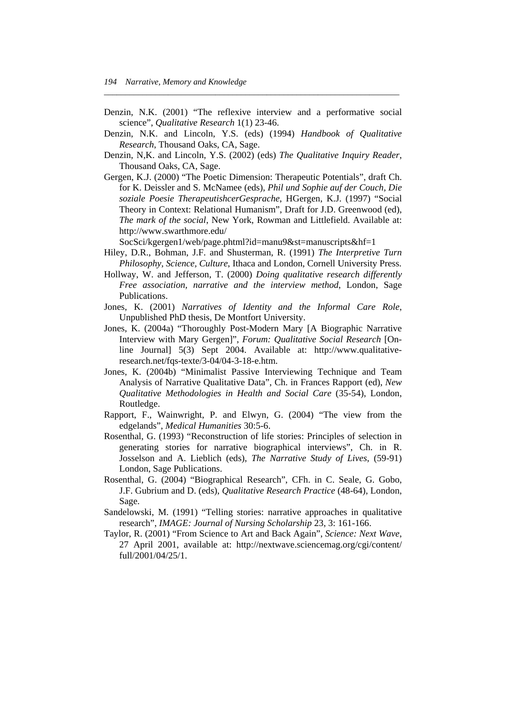Denzin, N.K. (2001) "The reflexive interview and a performative social science", *Qualitative Research* 1(1) 23-46.

*\_\_\_\_\_\_\_\_\_\_\_\_\_\_\_\_\_\_\_\_\_\_\_\_\_\_\_\_\_\_\_\_\_\_\_\_\_\_\_\_\_\_\_\_\_\_\_\_\_\_\_\_\_\_\_\_\_\_\_\_\_\_\_\_\_\_\_\_\_* 

- Denzin, N.K. and Lincoln, Y.S. (eds) (1994) *Handbook of Qualitative Research*, Thousand Oaks, CA, Sage.
- Denzin, N,K. and Lincoln, Y.S. (2002) (eds) *The Qualitative Inquiry Reader*, Thousand Oaks, CA, Sage.
- Gergen, K.J. (2000) "The Poetic Dimension: Therapeutic Potentials", draft Ch. for K. Deissler and S. McNamee (eds), *Phil und Sophie auf der Couch, Die soziale Poesie TherapeutishcerGesprache*, HGergen, K.J. (1997) "Social Theory in Context: Relational Humanism", Draft for J.D. Greenwood (ed), *The mark of the social*, New York, Rowman and Littlefield. Available at: http://www.swarthmore.edu/

SocSci/kgergen1/web/page.phtml?id=manu9&st=manuscripts&hf=1

- Hiley, D.R., Bohman, J.F. and Shusterman, R. (1991) *The Interpretive Turn Philosophy, Science, Culture*, Ithaca and London, Cornell University Press.
- Hollway, W. and Jefferson, T. (2000) *Doing qualitative research differently Free association, narrative and the interview method*, London, Sage Publications.
- Jones, K. (2001) *Narratives of Identity and the Informal Care Role*, Unpublished PhD thesis, De Montfort University.
- Jones, K. (2004a) "Thoroughly Post-Modern Mary [A Biographic Narrative Interview with Mary Gergen]", *Forum: Qualitative Social Research* [Online Journal] 5(3) Sept 2004. Available at: http://www.qualitativeresearch.net/fqs-texte/3-04/04-3-18-e.htm.
- Jones, K. (2004b) "Minimalist Passive Interviewing Technique and Team Analysis of Narrative Qualitative Data", Ch. in Frances Rapport (ed), *New Qualitative Methodologies in Health and Social Care* (35-54), London, Routledge.
- Rapport, F., Wainwright, P. and Elwyn, G. (2004) "The view from the edgelands", *Medical Humanities* 30:5-6.
- Rosenthal, G. (1993) "Reconstruction of life stories: Principles of selection in generating stories for narrative biographical interviews", Ch. in R. Josselson and A. Lieblich (eds), *The Narrative Study of Lives*, (59-91) London, Sage Publications.
- Rosenthal, G. (2004) "Biographical Research", CFh. in C. Seale, G. Gobo, J.F. Gubrium and D. (eds), *Qualitative Research Practice* (48-64), London, Sage.
- Sandelowski, M. (1991) "Telling stories: narrative approaches in qualitative research", *IMAGE: Journal of Nursing Scholarship* 23, 3: 161-166.
- Taylor, R. (2001) "From Science to Art and Back Again", *Science: Next Wave*, 27 April 2001, available at: http://nextwave.sciencemag.org/cgi/content/ full/2001/04/25/1.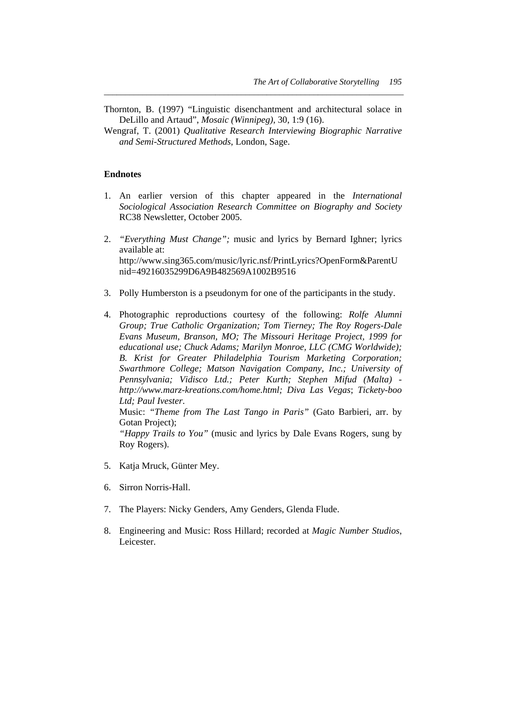Thornton, B. (1997) "Linguistic disenchantment and architectural solace in DeLillo and Artaud", *Mosaic (Winnipeg)*, 30, 1:9 (16).

*\_\_\_\_\_\_\_\_\_\_\_\_\_\_\_\_\_\_\_\_\_\_\_\_\_\_\_\_\_\_\_\_\_\_\_\_\_\_\_\_\_\_\_\_\_\_\_\_\_\_\_\_\_\_\_\_\_\_\_\_\_\_\_\_\_\_\_\_\_\_* 

Wengraf, T. (2001) *Qualitative Research Interviewing Biographic Narrative and Semi-Structured Methods*, London, Sage.

#### **Endnotes**

- 1. An earlier version of this chapter appeared in the *International Sociological Association Research Committee on Biography and Society* RC38 Newsletter, October 2005.
- 2. *"Everything Must Change";* music and lyrics by Bernard Ighner; lyrics available at: http://www.sing365.com/music/lyric.nsf/PrintLyrics?OpenForm&ParentU nid=49216035299D6A9B482569A1002B9516
- 3. Polly Humberston is a pseudonym for one of the participants in the study.
- 4. Photographic reproductions courtesy of the following: *Rolfe Alumni Group; True Catholic Organization; Tom Tierney; The Roy Rogers-Dale Evans Museum, Branson, MO; The Missouri Heritage Project, 1999 for educational use; Chuck Adams; Marilyn Monroe, LLC (CMG Worldwide); B. Krist for Greater Philadelphia Tourism Marketing Corporation; Swarthmore College; Matson Navigation Company, Inc.; University of Pennsylvania; Vidisco Ltd.; Peter Kurth; Stephen Mifud (Malta) http://www.marz-kreations.com/home.html; Diva Las Vegas*; *Tickety-boo Ltd; Paul Ivester*.

 Music: *"Theme from The Last Tango in Paris"* (Gato Barbieri, arr. by Gotan Project);

*"Happy Trails to You"* (music and lyrics by Dale Evans Rogers, sung by Roy Rogers).

- 5. Katja Mruck, Günter Mey.
- 6. Sirron Norris-Hall.
- 7. The Players: Nicky Genders, Amy Genders, Glenda Flude.
- 8. Engineering and Music: Ross Hillard; recorded at *Magic Number Studios*, Leicester.